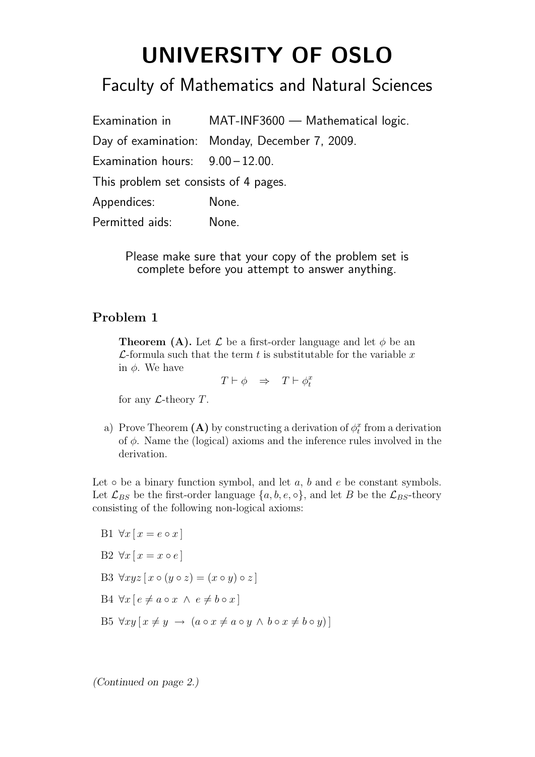## UNIVERSITY OF OSLO

## Faculty of Mathematics and Natural Sciences

|                                       | Examination in MAT-INF3600 - Mathematical logic. |
|---------------------------------------|--------------------------------------------------|
|                                       | Day of examination: Monday, December 7, 2009.    |
| Examination hours: $9.00 - 12.00$ .   |                                                  |
| This problem set consists of 4 pages. |                                                  |
| Appendices:                           | None.                                            |
| Permitted aids:                       | None.                                            |

Please make sure that your copy of the problem set is complete before you attempt to answer anything.

## Problem 1

**Theorem (A).** Let  $\mathcal{L}$  be a first-order language and let  $\phi$  be an  $\mathcal{L}$ -formula such that the term t is substitutable for the variable x in  $\phi$ . We have

 $T \vdash \phi \Rightarrow T \vdash \phi_t^x$ 

for any  $\mathcal{L}\text{-theory }T.$ 

a) Prove Theorem (A) by constructing a derivation of  $\phi_t^x$  from a derivation of  $\phi$ . Name the (logical) axioms and the inference rules involved in the derivation.

Let  $\circ$  be a binary function symbol, and let  $a, b$  and  $e$  be constant symbols. Let  $\mathcal{L}_{BS}$  be the first-order language  $\{a, b, e, \circ\}$ , and let B be the  $\mathcal{L}_{BS}$ -theory consisting of the following non-logical axioms:

B1  $\forall x [x = e \circ x]$ B2  $\forall x [x = x \circ e]$ B3  $\forall xyz \, [x \circ (y \circ z) = (x \circ y) \circ z]$ B4  $\forall x [ e \neq a \circ x \land e \neq b \circ x ]$ B5  $\forall xy \, [ \, x \neq y \rightarrow (a \circ x \neq a \circ y \land b \circ x \neq b \circ y) ]$ 

(Continued on page 2.)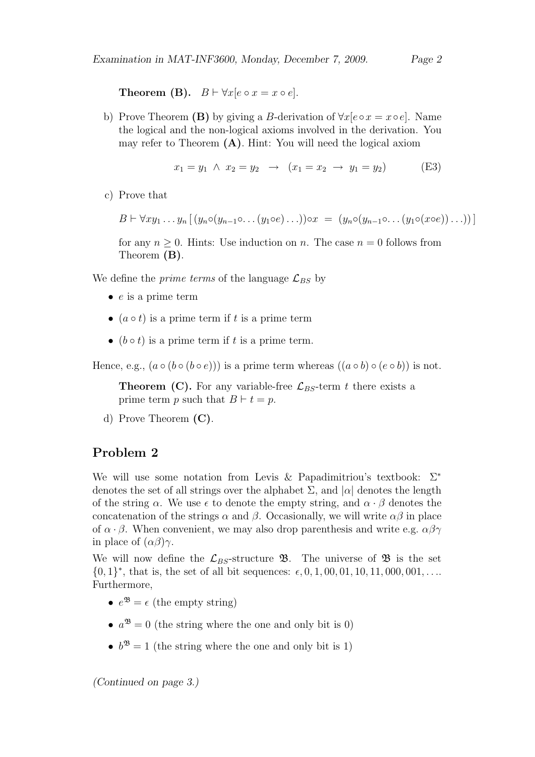**Theorem (B).**  $B \vdash \forall x [e \circ x = x \circ e].$ 

b) Prove Theorem (B) by giving a B-derivation of  $\forall x [e \circ x = x \circ e]$ . Name the logical and the non-logical axioms involved in the derivation. You may refer to Theorem (A). Hint: You will need the logical axiom

$$
x_1 = y_1 \land x_2 = y_2 \rightarrow (x_1 = x_2 \rightarrow y_1 = y_2) \tag{E3}
$$

c) Prove that

 $B \vdash \forall xy_1 \ldots y_n \left[ (y_n \circ (y_{n-1} \circ \ldots (y_1 \circ e) \ldots)) \circ x = (y_n \circ (y_{n-1} \circ \ldots (y_1 \circ (x \circ e)) \ldots)) \right]$ 

for any  $n \geq 0$ . Hints: Use induction on n. The case  $n = 0$  follows from Theorem (B).

We define the *prime terms* of the language  $\mathcal{L}_{BS}$  by

- $\bullet$  e is a prime term
- $(a \circ t)$  is a prime term if t is a prime term
- $(b \circ t)$  is a prime term if t is a prime term.

Hence, e.g.,  $(a \circ (b \circ (b \circ e)))$  is a prime term whereas  $((a \circ b) \circ (e \circ b))$  is not.

**Theorem (C).** For any variable-free  $\mathcal{L}_{BS}$ -term t there exists a prime term p such that  $B \vdash t = p$ .

d) Prove Theorem (C).

## Problem 2

We will use some notation from Levis & Papadimitriou's textbook: Σ<sup>\*</sup> denotes the set of all strings over the alphabet  $\Sigma$ , and  $|\alpha|$  denotes the length of the string  $\alpha$ . We use  $\epsilon$  to denote the empty string, and  $\alpha \cdot \beta$  denotes the concatenation of the strings  $\alpha$  and  $\beta$ . Occasionally, we will write  $\alpha\beta$  in place of  $\alpha \cdot \beta$ . When convenient, we may also drop parenthesis and write e.g.  $\alpha\beta\gamma$ in place of  $(\alpha\beta)\gamma$ .

We will now define the  $\mathcal{L}_{BS}$ -structure **B**. The universe of **B** is the set  $\{0,1\}^*$ , that is, the set of all bit sequences:  $\epsilon$ , 0, 1, 00, 01, 10, 11, 000, 001, ... Furthermore,

- $e^{i\mathfrak{B}} = \epsilon$  (the empty string)
- $a^{3} = 0$  (the string where the one and only bit is 0)
- $b^{\mathfrak{B}} = 1$  (the string where the one and only bit is 1)

(Continued on page 3.)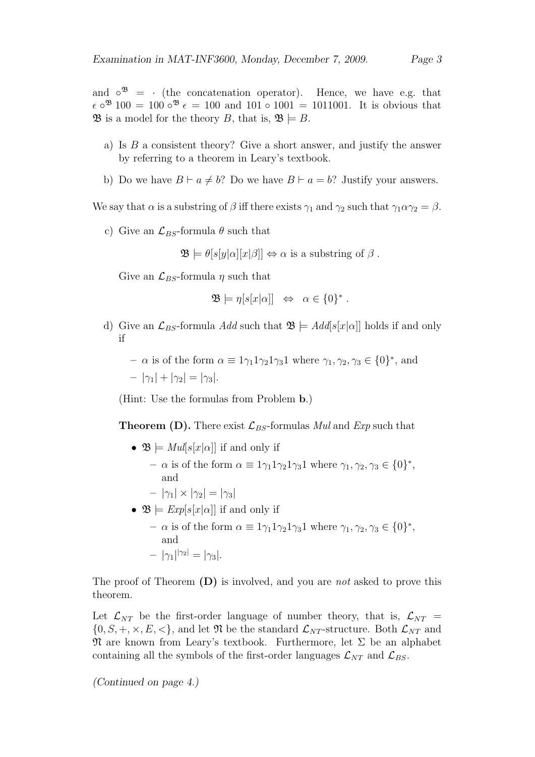and  $\circ^{\mathfrak{B}} = \cdot$  (the concatenation operator). Hence, we have e.g. that  $\epsilon \circ^{3} 100 = 100 \circ^{3} \epsilon = 100$  and  $101 \circ 1001 = 1011001$ . It is obvious that  $\mathfrak{B}$  is a model for the theory B, that is,  $\mathfrak{B} \models B$ .

- a) Is  $B$  a consistent theory? Give a short answer, and justify the answer by referring to a theorem in Leary's textbook.
- b) Do we have  $B \vdash a \neq b$ ? Do we have  $B \vdash a = b$ ? Justify your answers.

We say that  $\alpha$  is a substring of  $\beta$  iff there exists  $\gamma_1$  and  $\gamma_2$  such that  $\gamma_1 \alpha \gamma_2 = \beta$ .

c) Give an  $\mathcal{L}_{BS}$ -formula  $\theta$  such that

 $\mathfrak{B} \models \theta[s[y|\alpha][x|\beta]] \Leftrightarrow \alpha$  is a substring of  $\beta$ .

Give an  $\mathcal{L}_{BS}$ -formula  $\eta$  such that

$$
\mathfrak{B} \models \eta[s[x|\alpha]] \Leftrightarrow \alpha \in \{0\}^*.
$$

d) Give an  $\mathcal{L}_{BS}$ -formula Add such that  $\mathfrak{B} \models Add[s[x]\alpha]]$  holds if and only if

 $-\alpha$  is of the form  $\alpha \equiv 1\gamma_1 1\gamma_2 1\gamma_3 1$  where  $\gamma_1, \gamma_2, \gamma_3 \in \{0\}^*$ , and  $-|\gamma_1| + |\gamma_2| = |\gamma_3|.$ 

(Hint: Use the formulas from Problem b.)

**Theorem (D).** There exist  $\mathcal{L}_{BS}$ -formulas Mul and Exp such that

- $\mathfrak{B} \models \text{Mul}[s[x|\alpha]]$  if and only if
	- $-\alpha$  is of the form  $\alpha \equiv 1\gamma_1 1\gamma_2 1\gamma_3 1$  where  $\gamma_1, \gamma_2, \gamma_3 \in \{0\}^*$ , and
	- $-|\gamma_1| \times |\gamma_2| = |\gamma_3|$
- $\mathfrak{B} \models \text{Exp}[s[x|\alpha]]$  if and only if
	- $-\alpha$  is of the form  $\alpha \equiv 1\gamma_1 1\gamma_2 1\gamma_3 1$  where  $\gamma_1, \gamma_2, \gamma_3 \in \{0\}^*$ , and  $- |\gamma_1|^{|\gamma_2|} = |\gamma_3|.$

The proof of Theorem (D) is involved, and you are *not* asked to prove this theorem.

Let  $\mathcal{L}_{NT}$  be the first-order language of number theory, that is,  $\mathcal{L}_{NT}$  =  $\{0, S, +, \times, E, <\},$  and let  $\mathfrak{N}$  be the standard  $\mathcal{L}_{NT}$ -structure. Both  $\mathcal{L}_{NT}$  and  $\mathfrak{N}$  are known from Leary's textbook. Furthermore, let  $\Sigma$  be an alphabet containing all the symbols of the first-order languages  $\mathcal{L}_{NT}$  and  $\mathcal{L}_{BS}$ .

(Continued on page 4.)